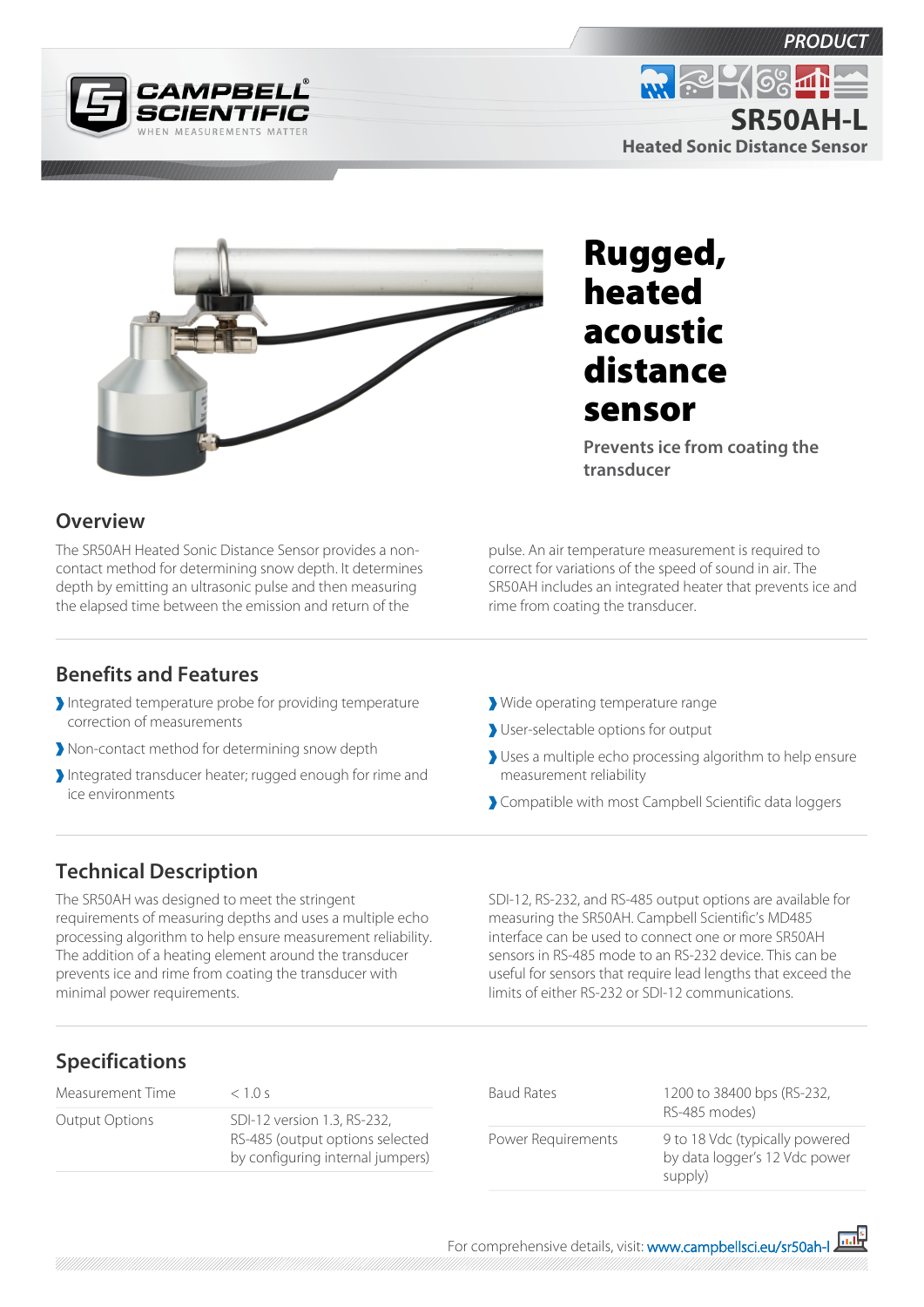





# **Overview**

The SR50AH Heated Sonic Distance Sensor provides a noncontact method for determining snow depth. It determines depth by emitting an ultrasonic pulse and then measuring the elapsed time between the emission and return of the

### **Benefits and Features**

- Integrated temperature probe for providing temperature correction of measurements
- Non-contact method for determining snow depth
- Integrated transducer heater; rugged enough for rime and ice environments

Rugged, heated acoustic distance sensor

**Prevents ice from coating the transducer**

pulse. An air temperature measurement is required to correct for variations of the speed of sound in air. The SR50AH includes an integrated heater that prevents ice and rime from coating the transducer.

- Wide operating temperature range
- User-selectable options for output
- Uses a multiple echo processing algorithm to help ensure measurement reliability
- Compatible with most Campbell Scientific data loggers

### **Technical Description**

The SR50AH was designed to meet the stringent requirements of measuring depths and uses a multiple echo processing algorithm to help ensure measurement reliability. The addition of a heating element around the transducer prevents ice and rime from coating the transducer with minimal power requirements.

SDI-12, RS-232, and RS-485 output options are available for measuring the SR50AH. Campbell Scientific's MD485 interface can be used to connect one or more SR50AH sensors in RS-485 mode to an RS-232 device. This can be useful for sensors that require lead lengths that exceed the limits of either RS-232 or SDI-12 communications.

## **Specifications**

| Measurement Time | <1.0 s                                                                                             |
|------------------|----------------------------------------------------------------------------------------------------|
| Output Options   | SDI-12 version 1.3, RS-232,<br>RS-485 (output options selected<br>by configuring internal jumpers) |

| Baud Rates         | 1200 to 38400 bps (RS-232,<br>RS-485 modes)                                |
|--------------------|----------------------------------------------------------------------------|
| Power Requirements | 9 to 18 Vdc (typically powered<br>by data logger's 12 Vdc power<br>supply) |